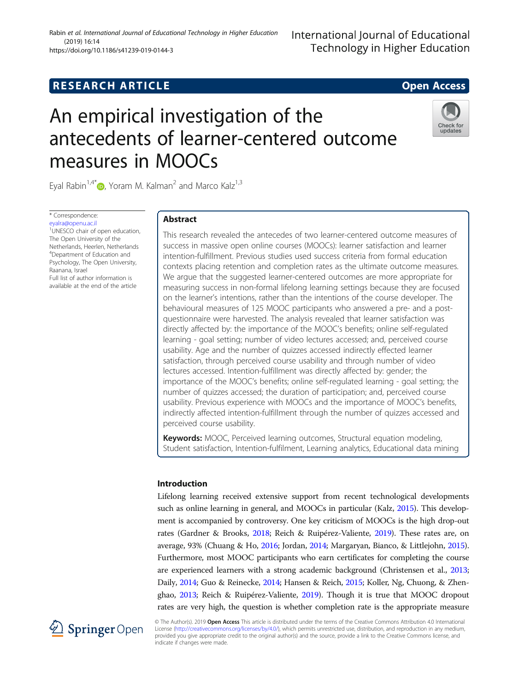#### Rabin et al. International Journal of Educational Technology in Higher Education (2019) 16:14 https://doi.org/10.1186/s41239-019-0144-3

## **RESEARCH ARTICLE Example 2014 The SEAR CH ACCESS**

# An empirical investigation of the antecedents of learner-centered outcome measures in MOOCs



Eyal Rabin<sup>1,4[\\*](http://orcid.org/0000-0002-3726-0645)</sup>  $\bullet$ , Yoram M. Kalman<sup>2</sup> and Marco Kalz<sup>1,3</sup>

\* Correspondence: [eyalra@openu.ac.il](mailto:eyalra@openu.ac.il)

1 UNESCO chair of open education, The Open University of the Netherlands, Heerlen, Netherlands 4 Department of Education and Psychology, The Open University, Raanana, Israel Full list of author information is available at the end of the article

### Abstract

This research revealed the antecedes of two learner-centered outcome measures of success in massive open online courses (MOOCs): learner satisfaction and learner intention-fulfillment. Previous studies used success criteria from formal education contexts placing retention and completion rates as the ultimate outcome measures. We argue that the suggested learner-centered outcomes are more appropriate for measuring success in non-formal lifelong learning settings because they are focused on the learner's intentions, rather than the intentions of the course developer. The behavioural measures of 125 MOOC participants who answered a pre- and a postquestionnaire were harvested. The analysis revealed that learner satisfaction was directly affected by: the importance of the MOOC's benefits; online self-regulated learning - goal setting; number of video lectures accessed; and, perceived course usability. Age and the number of quizzes accessed indirectly effected learner satisfaction, through perceived course usability and through number of video lectures accessed. Intention-fulfillment was directly affected by: gender; the importance of the MOOC's benefits; online self-regulated learning - goal setting; the number of quizzes accessed; the duration of participation; and, perceived course usability. Previous experience with MOOCs and the importance of MOOC's benefits, indirectly affected intention-fulfillment through the number of quizzes accessed and perceived course usability.

Keywords: MOOC, Perceived learning outcomes, Structural equation modeling, Student satisfaction, Intention-fulfilment, Learning analytics, Educational data mining

#### Introduction

Lifelong learning received extensive support from recent technological developments such as online learning in general, and MOOCs in particular (Kalz, [2015](#page-18-0)). This development is accompanied by controversy. One key criticism of MOOCs is the high drop-out rates (Gardner & Brooks, [2018](#page-17-0); Reich & Ruipérez-Valiente, [2019](#page-18-0)). These rates are, on average, 93% (Chuang & Ho, [2016;](#page-17-0) Jordan, [2014;](#page-18-0) Margaryan, Bianco, & Littlejohn, [2015](#page-18-0)). Furthermore, most MOOC participants who earn certificates for completing the course are experienced learners with a strong academic background (Christensen et al., [2013](#page-17-0); Daily, [2014;](#page-17-0) Guo & Reinecke, [2014](#page-18-0); Hansen & Reich, [2015](#page-18-0); Koller, Ng, Chuong, & Zhenghao, [2013](#page-18-0); Reich & Ruipérez-Valiente, [2019\)](#page-18-0). Though it is true that MOOC dropout rates are very high, the question is whether completion rate is the appropriate measure



© The Author(s). 2019 Open Access This article is distributed under the terms of the Creative Commons Attribution 4.0 International License [\(http://creativecommons.org/licenses/by/4.0/](http://creativecommons.org/licenses/by/4.0/)), which permits unrestricted use, distribution, and reproduction in any medium, provided you give appropriate credit to the original author(s) and the source, provide a link to the Creative Commons license, and indicate if changes were made.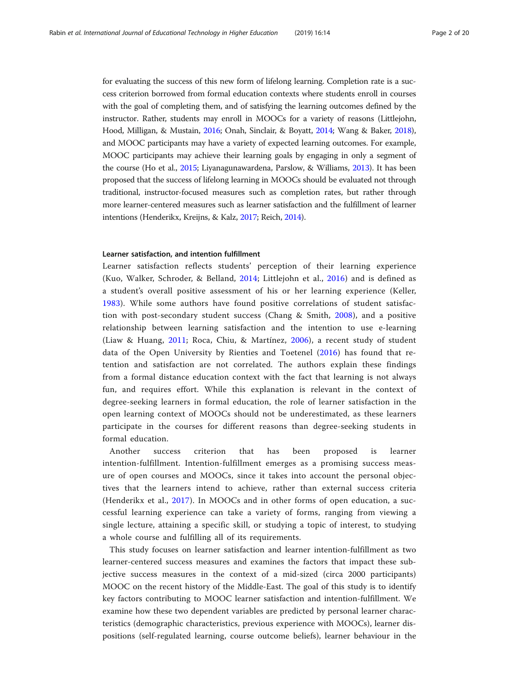for evaluating the success of this new form of lifelong learning. Completion rate is a success criterion borrowed from formal education contexts where students enroll in courses with the goal of completing them, and of satisfying the learning outcomes defined by the instructor. Rather, students may enroll in MOOCs for a variety of reasons (Littlejohn, Hood, Milligan, & Mustain, [2016;](#page-18-0) Onah, Sinclair, & Boyatt, [2014;](#page-18-0) Wang & Baker, [2018](#page-19-0)), and MOOC participants may have a variety of expected learning outcomes. For example, MOOC participants may achieve their learning goals by engaging in only a segment of the course (Ho et al., [2015](#page-18-0); Liyanagunawardena, Parslow, & Williams, [2013\)](#page-18-0). It has been proposed that the success of lifelong learning in MOOCs should be evaluated not through traditional, instructor-focused measures such as completion rates, but rather through more learner-centered measures such as learner satisfaction and the fulfillment of learner intentions (Henderikx, Kreijns, & Kalz, [2017;](#page-18-0) Reich, [2014\)](#page-18-0).

#### Learner satisfaction, and intention fulfillment

Learner satisfaction reflects students' perception of their learning experience (Kuo, Walker, Schroder, & Belland, [2014;](#page-18-0) Littlejohn et al., [2016\)](#page-18-0) and is defined as a student's overall positive assessment of his or her learning experience (Keller, [1983](#page-18-0)). While some authors have found positive correlations of student satisfaction with post-secondary student success (Chang & Smith, [2008\)](#page-17-0), and a positive relationship between learning satisfaction and the intention to use e-learning (Liaw & Huang, [2011;](#page-18-0) Roca, Chiu, & Martínez, [2006](#page-18-0)), a recent study of student data of the Open University by Rienties and Toetenel ([2016](#page-18-0)) has found that retention and satisfaction are not correlated. The authors explain these findings from a formal distance education context with the fact that learning is not always fun, and requires effort. While this explanation is relevant in the context of degree-seeking learners in formal education, the role of learner satisfaction in the open learning context of MOOCs should not be underestimated, as these learners participate in the courses for different reasons than degree-seeking students in formal education.

Another success criterion that has been proposed is learner intention-fulfillment. Intention-fulfillment emerges as a promising success measure of open courses and MOOCs, since it takes into account the personal objectives that the learners intend to achieve, rather than external success criteria (Henderikx et al., [2017\)](#page-18-0). In MOOCs and in other forms of open education, a successful learning experience can take a variety of forms, ranging from viewing a single lecture, attaining a specific skill, or studying a topic of interest, to studying a whole course and fulfilling all of its requirements.

This study focuses on learner satisfaction and learner intention-fulfillment as two learner-centered success measures and examines the factors that impact these subjective success measures in the context of a mid-sized (circa 2000 participants) MOOC on the recent history of the Middle-East. The goal of this study is to identify key factors contributing to MOOC learner satisfaction and intention-fulfillment. We examine how these two dependent variables are predicted by personal learner characteristics (demographic characteristics, previous experience with MOOCs), learner dispositions (self-regulated learning, course outcome beliefs), learner behaviour in the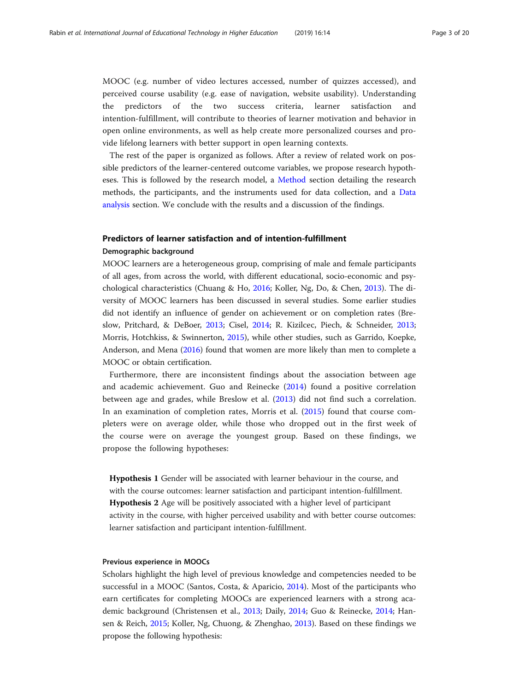MOOC (e.g. number of video lectures accessed, number of quizzes accessed), and perceived course usability (e.g. ease of navigation, website usability). Understanding the predictors of the two success criteria, learner satisfaction and intention-fulfillment, will contribute to theories of learner motivation and behavior in open online environments, as well as help create more personalized courses and provide lifelong learners with better support in open learning contexts.

The rest of the paper is organized as follows. After a review of related work on possible predictors of the learner-centered outcome variables, we propose research hypotheses. This is followed by the research model, a [Method](#page-4-0) section detailing the research methods, the participants, and the instruments used for data collection, and a [Data](#page-8-0) [analysis](#page-8-0) section. We conclude with the results and a discussion of the findings.

#### Predictors of learner satisfaction and of intention-fulfillment

#### Demographic background

MOOC learners are a heterogeneous group, comprising of male and female participants of all ages, from across the world, with different educational, socio-economic and psychological characteristics (Chuang & Ho, [2016](#page-17-0); Koller, Ng, Do, & Chen, [2013](#page-18-0)). The diversity of MOOC learners has been discussed in several studies. Some earlier studies did not identify an influence of gender on achievement or on completion rates (Breslow, Pritchard, & DeBoer, [2013](#page-17-0); Cisel, [2014](#page-17-0); R. Kizilcec, Piech, & Schneider, [2013](#page-18-0); Morris, Hotchkiss, & Swinnerton, [2015\)](#page-18-0), while other studies, such as Garrido, Koepke, Anderson, and Mena [\(2016\)](#page-18-0) found that women are more likely than men to complete a MOOC or obtain certification.

Furthermore, there are inconsistent findings about the association between age and academic achievement. Guo and Reinecke ([2014\)](#page-18-0) found a positive correlation between age and grades, while Breslow et al. [\(2013](#page-17-0)) did not find such a correlation. In an examination of completion rates, Morris et al. [\(2015](#page-18-0)) found that course completers were on average older, while those who dropped out in the first week of the course were on average the youngest group. Based on these findings, we propose the following hypotheses:

Hypothesis 1 Gender will be associated with learner behaviour in the course, and with the course outcomes: learner satisfaction and participant intention-fulfillment. Hypothesis 2 Age will be positively associated with a higher level of participant activity in the course, with higher perceived usability and with better course outcomes: learner satisfaction and participant intention-fulfillment.

#### Previous experience in MOOCs

Scholars highlight the high level of previous knowledge and competencies needed to be successful in a MOOC (Santos, Costa, & Aparicio, [2014\)](#page-19-0). Most of the participants who earn certificates for completing MOOCs are experienced learners with a strong academic background (Christensen et al., [2013;](#page-17-0) Daily, [2014](#page-17-0); Guo & Reinecke, [2014;](#page-18-0) Hansen & Reich, [2015](#page-18-0); Koller, Ng, Chuong, & Zhenghao, [2013\)](#page-18-0). Based on these findings we propose the following hypothesis: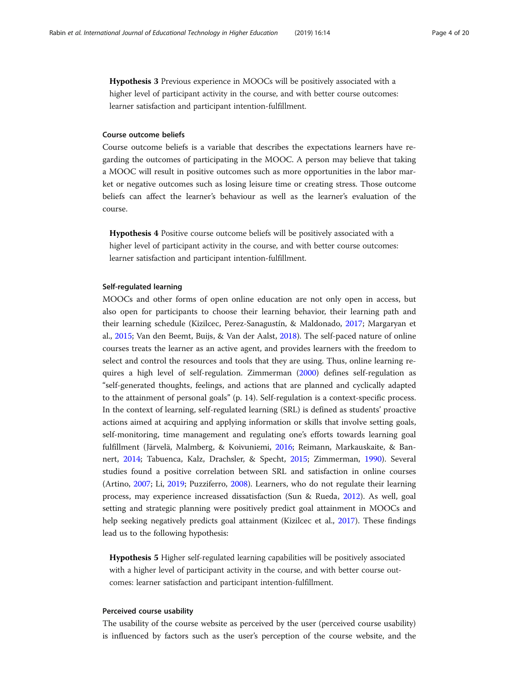Hypothesis 3 Previous experience in MOOCs will be positively associated with a higher level of participant activity in the course, and with better course outcomes: learner satisfaction and participant intention-fulfillment.

#### Course outcome beliefs

Course outcome beliefs is a variable that describes the expectations learners have regarding the outcomes of participating in the MOOC. A person may believe that taking a MOOC will result in positive outcomes such as more opportunities in the labor market or negative outcomes such as losing leisure time or creating stress. Those outcome beliefs can affect the learner's behaviour as well as the learner's evaluation of the course.

Hypothesis 4 Positive course outcome beliefs will be positively associated with a higher level of participant activity in the course, and with better course outcomes: learner satisfaction and participant intention-fulfillment.

#### Self-regulated learning

MOOCs and other forms of open online education are not only open in access, but also open for participants to choose their learning behavior, their learning path and their learning schedule (Kizilcec, Perez-Sanagustín, & Maldonado, [2017](#page-18-0); Margaryan et al., [2015](#page-18-0); Van den Beemt, Buijs, & Van der Aalst, [2018\)](#page-19-0). The self-paced nature of online courses treats the learner as an active agent, and provides learners with the freedom to select and control the resources and tools that they are using. Thus, online learning requires a high level of self-regulation. Zimmerman ([2000](#page-19-0)) defines self-regulation as "self-generated thoughts, feelings, and actions that are planned and cyclically adapted to the attainment of personal goals" (p. 14). Self-regulation is a context-specific process. In the context of learning, self-regulated learning (SRL) is defined as students' proactive actions aimed at acquiring and applying information or skills that involve setting goals, self-monitoring, time management and regulating one's efforts towards learning goal fulfillment (Järvelä, Malmberg, & Koivuniemi, [2016;](#page-18-0) Reimann, Markauskaite, & Bannert, [2014](#page-18-0); Tabuenca, Kalz, Drachsler, & Specht, [2015;](#page-19-0) Zimmerman, [1990](#page-19-0)). Several studies found a positive correlation between SRL and satisfaction in online courses (Artino, [2007;](#page-17-0) Li, [2019;](#page-18-0) Puzziferro, [2008](#page-18-0)). Learners, who do not regulate their learning process, may experience increased dissatisfaction (Sun & Rueda, [2012\)](#page-19-0). As well, goal setting and strategic planning were positively predict goal attainment in MOOCs and help seeking negatively predicts goal attainment (Kizilcec et al., [2017\)](#page-18-0). These findings lead us to the following hypothesis:

Hypothesis 5 Higher self-regulated learning capabilities will be positively associated with a higher level of participant activity in the course, and with better course outcomes: learner satisfaction and participant intention-fulfillment.

#### Perceived course usability

The usability of the course website as perceived by the user (perceived course usability) is influenced by factors such as the user's perception of the course website, and the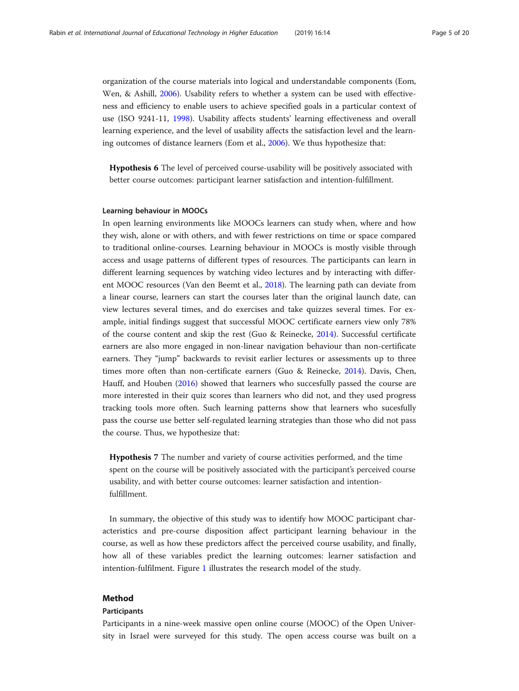<span id="page-4-0"></span>organization of the course materials into logical and understandable components (Eom, Wen, & Ashill, [2006](#page-17-0)). Usability refers to whether a system can be used with effectiveness and efficiency to enable users to achieve specified goals in a particular context of use (ISO 9241-11, [1998\)](#page-18-0). Usability affects students' learning effectiveness and overall learning experience, and the level of usability affects the satisfaction level and the learning outcomes of distance learners (Eom et al., [2006](#page-17-0)). We thus hypothesize that:

Hypothesis 6 The level of perceived course-usability will be positively associated with better course outcomes: participant learner satisfaction and intention-fulfillment.

#### Learning behaviour in MOOCs

In open learning environments like MOOCs learners can study when, where and how they wish, alone or with others, and with fewer restrictions on time or space compared to traditional online-courses. Learning behaviour in MOOCs is mostly visible through access and usage patterns of different types of resources. The participants can learn in different learning sequences by watching video lectures and by interacting with different MOOC resources (Van den Beemt et al., [2018\)](#page-19-0). The learning path can deviate from a linear course, learners can start the courses later than the original launch date, can view lectures several times, and do exercises and take quizzes several times. For example, initial findings suggest that successful MOOC certificate earners view only 78% of the course content and skip the rest (Guo & Reinecke, [2014](#page-18-0)). Successful certificate earners are also more engaged in non-linear navigation behaviour than non-certificate earners. They "jump" backwards to revisit earlier lectures or assessments up to three times more often than non-certificate earners (Guo & Reinecke, [2014](#page-18-0)). Davis, Chen, Hauff, and Houben [\(2016\)](#page-17-0) showed that learners who succesfully passed the course are more interested in their quiz scores than learners who did not, and they used progress tracking tools more often. Such learning patterns show that learners who sucesfully pass the course use better self-regulated learning strategies than those who did not pass the course. Thus, we hypothesize that:

Hypothesis 7 The number and variety of course activities performed, and the time spent on the course will be positively associated with the participant's perceived course usability, and with better course outcomes: learner satisfaction and intentionfulfillment.

In summary, the objective of this study was to identify how MOOC participant characteristics and pre-course disposition affect participant learning behaviour in the course, as well as how these predictors affect the perceived course usability, and finally, how all of these variables predict the learning outcomes: learner satisfaction and intention-fulfilment. Figure [1](#page-5-0) illustrates the research model of the study.

#### Method

#### Participants

Participants in a nine-week massive open online course (MOOC) of the Open University in Israel were surveyed for this study. The open access course was built on a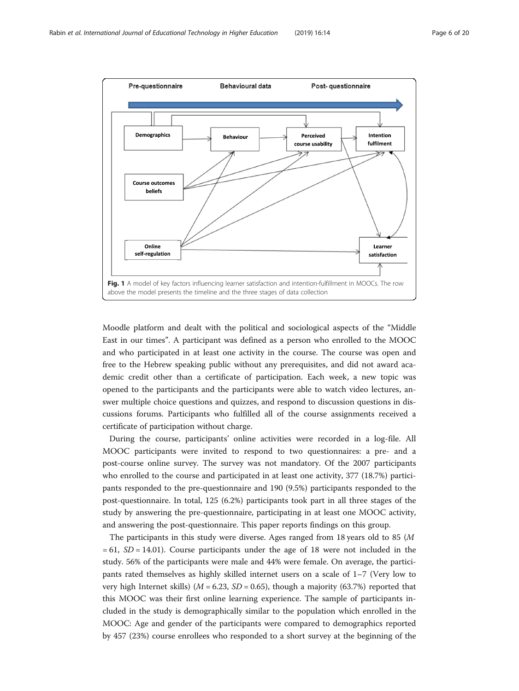<span id="page-5-0"></span>

Moodle platform and dealt with the political and sociological aspects of the "Middle East in our times". A participant was defined as a person who enrolled to the MOOC and who participated in at least one activity in the course. The course was open and free to the Hebrew speaking public without any prerequisites, and did not award academic credit other than a certificate of participation. Each week, a new topic was opened to the participants and the participants were able to watch video lectures, answer multiple choice questions and quizzes, and respond to discussion questions in discussions forums. Participants who fulfilled all of the course assignments received a certificate of participation without charge.

During the course, participants' online activities were recorded in a log-file. All MOOC participants were invited to respond to two questionnaires: a pre- and a post-course online survey. The survey was not mandatory. Of the 2007 participants who enrolled to the course and participated in at least one activity, 377 (18.7%) participants responded to the pre-questionnaire and 190 (9.5%) participants responded to the post-questionnaire. In total, 125 (6.2%) participants took part in all three stages of the study by answering the pre-questionnaire, participating in at least one MOOC activity, and answering the post-questionnaire. This paper reports findings on this group.

The participants in this study were diverse. Ages ranged from 18 years old to 85 (M  $= 61$ ,  $SD = 14.01$ ). Course participants under the age of 18 were not included in the study. 56% of the participants were male and 44% were female. On average, the participants rated themselves as highly skilled internet users on a scale of 1–7 (Very low to very high Internet skills) ( $M = 6.23$ ,  $SD = 0.65$ ), though a majority (63.7%) reported that this MOOC was their first online learning experience. The sample of participants included in the study is demographically similar to the population which enrolled in the MOOC: Age and gender of the participants were compared to demographics reported by 457 (23%) course enrollees who responded to a short survey at the beginning of the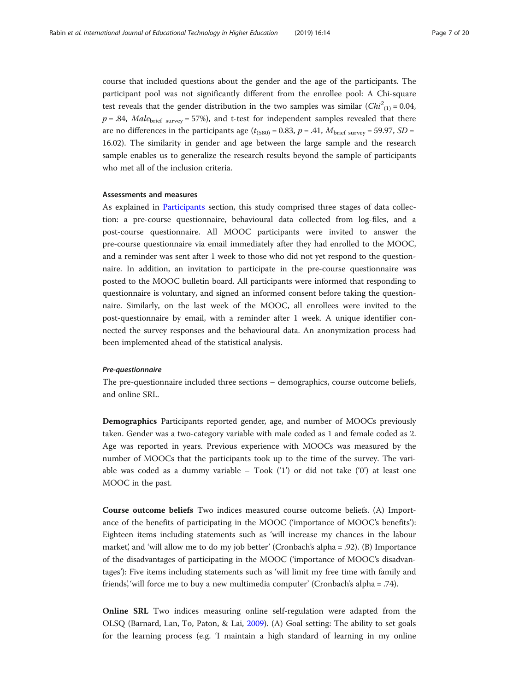course that included questions about the gender and the age of the participants. The participant pool was not significantly different from the enrollee pool: A Chi-square test reveals that the gender distribution in the two samples was similar  $(Chi<sup>2</sup><sub>(1)</sub> = 0.04,$  $p = .84$ , Male<sub>brief survey</sub> = 57%), and t-test for independent samples revealed that there are no differences in the participants age  $(t_{(580)} = 0.83, p = .41, M_{\text{brief survey}} = 59.97, SD =$ 16.02). The similarity in gender and age between the large sample and the research sample enables us to generalize the research results beyond the sample of participants who met all of the inclusion criteria.

#### Assessments and measures

As explained in [Participants](#page-4-0) section, this study comprised three stages of data collection: a pre-course questionnaire, behavioural data collected from log-files, and a post-course questionnaire. All MOOC participants were invited to answer the pre-course questionnaire via email immediately after they had enrolled to the MOOC, and a reminder was sent after 1 week to those who did not yet respond to the questionnaire. In addition, an invitation to participate in the pre-course questionnaire was posted to the MOOC bulletin board. All participants were informed that responding to questionnaire is voluntary, and signed an informed consent before taking the questionnaire. Similarly, on the last week of the MOOC, all enrollees were invited to the post-questionnaire by email, with a reminder after 1 week. A unique identifier connected the survey responses and the behavioural data. An anonymization process had been implemented ahead of the statistical analysis.

#### Pre-questionnaire

The pre-questionnaire included three sections – demographics, course outcome beliefs, and online SRL.

Demographics Participants reported gender, age, and number of MOOCs previously taken. Gender was a two-category variable with male coded as 1 and female coded as 2. Age was reported in years. Previous experience with MOOCs was measured by the number of MOOCs that the participants took up to the time of the survey. The variable was coded as a dummy variable – Took  $(1')$  or did not take  $(0')$  at least one MOOC in the past.

Course outcome beliefs Two indices measured course outcome beliefs. (A) Importance of the benefits of participating in the MOOC ('importance of MOOC's benefits'): Eighteen items including statements such as 'will increase my chances in the labour market', and 'will allow me to do my job better' (Cronbach's alpha = .92). (B) Importance of the disadvantages of participating in the MOOC ('importance of MOOC's disadvantages'): Five items including statements such as 'will limit my free time with family and friends', 'will force me to buy a new multimedia computer' (Cronbach's alpha = .74).

Online SRL Two indices measuring online self-regulation were adapted from the OLSQ (Barnard, Lan, To, Paton, & Lai, [2009](#page-17-0)). (A) Goal setting: The ability to set goals for the learning process (e.g. 'I maintain a high standard of learning in my online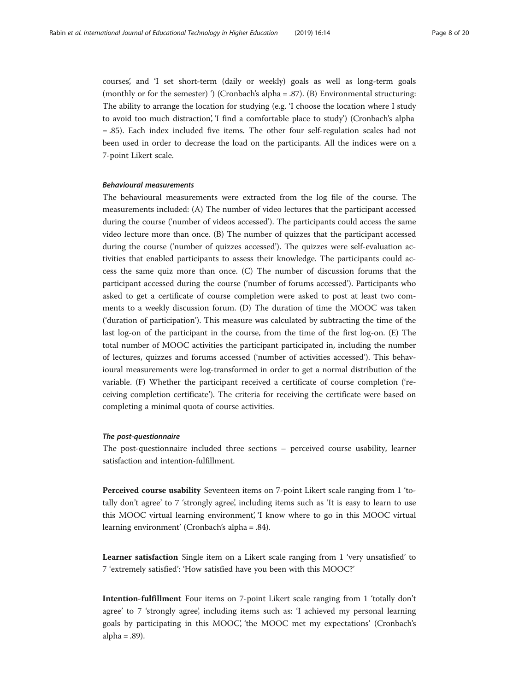courses', and 'I set short-term (daily or weekly) goals as well as long-term goals (monthly or for the semester) ') (Cronbach's alpha = .87). (B) Environmental structuring: The ability to arrange the location for studying (e.g. 'I choose the location where I study to avoid too much distraction', 'I find a comfortable place to study') (Cronbach's alpha = .85). Each index included five items. The other four self-regulation scales had not been used in order to decrease the load on the participants. All the indices were on a 7-point Likert scale.

#### Behavioural measurements

The behavioural measurements were extracted from the log file of the course. The measurements included: (A) The number of video lectures that the participant accessed during the course ('number of videos accessed'). The participants could access the same video lecture more than once. (B) The number of quizzes that the participant accessed during the course ('number of quizzes accessed'). The quizzes were self-evaluation activities that enabled participants to assess their knowledge. The participants could access the same quiz more than once. (C) The number of discussion forums that the participant accessed during the course ('number of forums accessed'). Participants who asked to get a certificate of course completion were asked to post at least two comments to a weekly discussion forum. (D) The duration of time the MOOC was taken ('duration of participation'). This measure was calculated by subtracting the time of the last log-on of the participant in the course, from the time of the first log-on. (E) The total number of MOOC activities the participant participated in, including the number of lectures, quizzes and forums accessed ('number of activities accessed'). This behavioural measurements were log-transformed in order to get a normal distribution of the variable. (F) Whether the participant received a certificate of course completion ('receiving completion certificate'). The criteria for receiving the certificate were based on completing a minimal quota of course activities.

#### The post-questionnaire

The post-questionnaire included three sections – perceived course usability, learner satisfaction and intention-fulfillment.

Perceived course usability Seventeen items on 7-point Likert scale ranging from 1 'totally don't agree' to 7 'strongly agree', including items such as 'It is easy to learn to use this MOOC virtual learning environment', 'I know where to go in this MOOC virtual learning environment' (Cronbach's alpha = .84).

Learner satisfaction Single item on a Likert scale ranging from 1 'very unsatisfied' to 7 'extremely satisfied': 'How satisfied have you been with this MOOC?'

Intention-fulfillment Four items on 7-point Likert scale ranging from 1 'totally don't agree' to 7 'strongly agree', including items such as: 'I achieved my personal learning goals by participating in this MOOC', 'the MOOC met my expectations' (Cronbach's alpha = .89).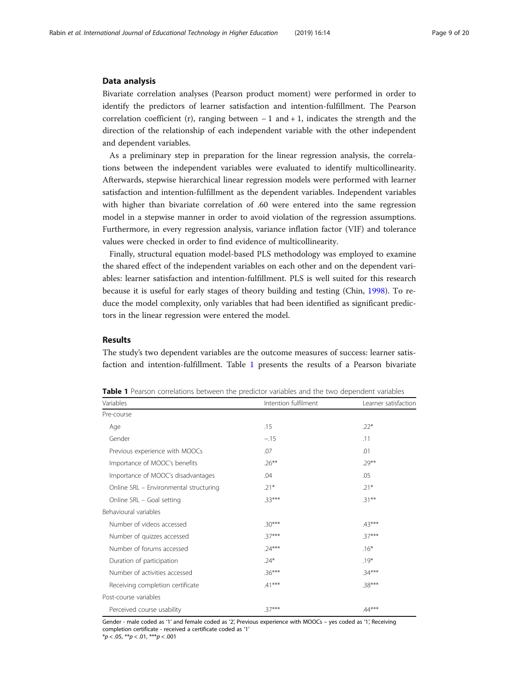#### <span id="page-8-0"></span>Data analysis

Bivariate correlation analyses (Pearson product moment) were performed in order to identify the predictors of learner satisfaction and intention-fulfillment. The Pearson correlation coefficient (r), ranging between  $-1$  and  $+1$ , indicates the strength and the direction of the relationship of each independent variable with the other independent and dependent variables.

As a preliminary step in preparation for the linear regression analysis, the correlations between the independent variables were evaluated to identify multicollinearity. Afterwards, stepwise hierarchical linear regression models were performed with learner satisfaction and intention-fulfillment as the dependent variables. Independent variables with higher than bivariate correlation of .60 were entered into the same regression model in a stepwise manner in order to avoid violation of the regression assumptions. Furthermore, in every regression analysis, variance inflation factor (VIF) and tolerance values were checked in order to find evidence of multicollinearity.

Finally, structural equation model-based PLS methodology was employed to examine the shared effect of the independent variables on each other and on the dependent variables: learner satisfaction and intention-fulfillment. PLS is well suited for this research because it is useful for early stages of theory building and testing (Chin, [1998\)](#page-17-0). To reduce the model complexity, only variables that had been identified as significant predictors in the linear regression were entered the model.

#### Results

The study's two dependent variables are the outcome measures of success: learner satisfaction and intention-fulfillment. Table 1 presents the results of a Pearson bivariate

| Variables                              | Intention fulfilment | Learner satisfaction |
|----------------------------------------|----------------------|----------------------|
| Pre-course                             |                      |                      |
| Age                                    | .15                  | $.22*$               |
| Gender                                 | $-.15$               | .11                  |
| Previous experience with MOOCs         | .07                  | .01                  |
| Importance of MOOC's benefits          | $.26***$             | $.29***$             |
| Importance of MOOC's disadvantages     | .04                  | .05                  |
| Online SRL - Environmental structuring | $.21*$               | $.21*$               |
| Online SRL - Goal setting              | $.33***$             | $.31***$             |
| Behavioural variables                  |                      |                      |
| Number of videos accessed              | $.30***$             | $43***$              |
| Number of quizzes accessed             | $.37***$             | $.37***$             |
| Number of forums accessed              | $.24***$             | $.16*$               |
| Duration of participation              | $.24*$               | $.19*$               |
| Number of activities accessed          | $.36***$             | $.34***$             |
| Receiving completion certificate       | $.41***$             | $.38***$             |
| Post-course variables                  |                      |                      |
| Perceived course usability             | $.37***$             | $.44***$             |

Table 1 Pearson correlations between the predictor variables and the two dependent variables

Gender - male coded as '1' and female coded as '2', Previous experience with MOOCs – yes coded as '1', Receiving completion certificate - received a certificate coded as '1'

 $*p < .05, **p < .01, **p < .001$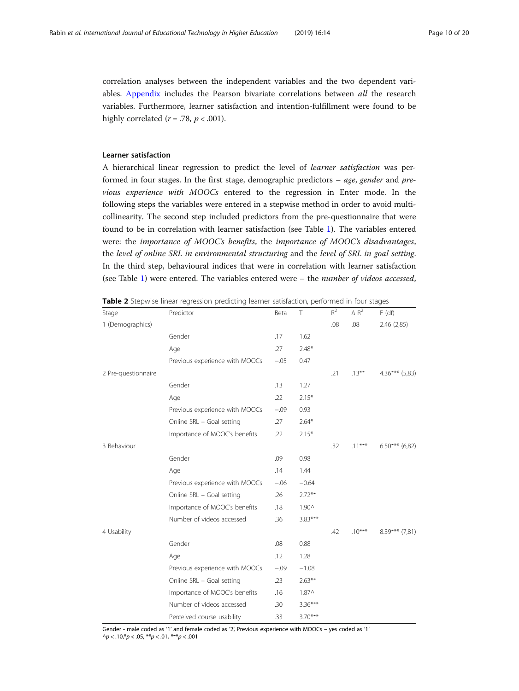<span id="page-9-0"></span>correlation analyses between the independent variables and the two dependent variables. Appendix includes the Pearson bivariate correlations between all the research variables. Furthermore, learner satisfaction and intention-fulfillment were found to be highly correlated ( $r = .78$ ,  $p < .001$ ).

#### Learner satisfaction

A hierarchical linear regression to predict the level of learner satisfaction was performed in four stages. In the first stage, demographic predictors  $-$  age, gender and previous experience with MOOCs entered to the regression in Enter mode. In the following steps the variables were entered in a stepwise method in order to avoid multicollinearity. The second step included predictors from the pre-questionnaire that were found to be in correlation with learner satisfaction (see Table [1\)](#page-8-0). The variables entered were: the importance of MOOC's benefits, the importance of MOOC's disadvantages, the level of online SRL in environmental structuring and the level of SRL in goal setting. In the third step, behavioural indices that were in correlation with learner satisfaction (see Table [1\)](#page-8-0) were entered. The variables entered were – the number of videos accessed,

**Table 2** Stepwise linear regression predicting learner satisfaction, performed in four stages

| Stage               | Predictor                      | Beta   | T                 | $R^2$ | $\triangle R^2$ | $F$ (df)         |
|---------------------|--------------------------------|--------|-------------------|-------|-----------------|------------------|
| 1 (Demographics)    |                                |        |                   | .08   | .08             | 2.46 (2,85)      |
|                     | Gender                         | .17    | 1.62              |       |                 |                  |
|                     | Age                            | .27    | $2.48*$           |       |                 |                  |
|                     | Previous experience with MOOCs | $-.05$ | 0.47              |       |                 |                  |
| 2 Pre-questionnaire |                                |        |                   | .21   | $.13***$        | $4.36***$ (5,83) |
|                     | Gender                         | .13    | 1.27              |       |                 |                  |
|                     | Age                            | .22    | $2.15*$           |       |                 |                  |
|                     | Previous experience with MOOCs | $-.09$ | 0.93              |       |                 |                  |
|                     | Online SRL - Goal setting      | .27    | $2.64*$           |       |                 |                  |
|                     | Importance of MOOC's benefits  | .22    | $2.15*$           |       |                 |                  |
| 3 Behaviour         |                                |        |                   | .32   | $.11***$        | $6.50***$ (6,82) |
|                     | Gender                         | .09    | 0.98              |       |                 |                  |
|                     | Age                            | .14    | 1.44              |       |                 |                  |
|                     | Previous experience with MOOCs | $-.06$ | $-0.64$           |       |                 |                  |
|                     | Online SRL - Goal setting      | .26    | $2.72***$         |       |                 |                  |
|                     | Importance of MOOC's benefits  | .18    | 1.90 <sub>0</sub> |       |                 |                  |
|                     | Number of videos accessed      | .36    | $3.83***$         |       |                 |                  |
| 4 Usability         |                                |        |                   | .42   | $.10***$        | 8.39*** (7,81)   |
|                     | Gender                         | .08    | 0.88              |       |                 |                  |
|                     | Age                            | .12    | 1.28              |       |                 |                  |
|                     | Previous experience with MOOCs | $-.09$ | $-1.08$           |       |                 |                  |
|                     | Online SRL - Goal setting      | .23    | $2.63***$         |       |                 |                  |
|                     | Importance of MOOC's benefits  | .16    | 1.87 <sub>0</sub> |       |                 |                  |
|                     | Number of videos accessed      | .30    | $3.36***$         |       |                 |                  |
|                     | Perceived course usability     | .33    | $3.70***$         |       |                 |                  |

Gender - male coded as '1' and female coded as '2', Previous experience with MOOCs – yes coded as '1'

 $\wedge p < .10, \nmid p < .05, \nmid p < .01, \nmid \wedge p < .001$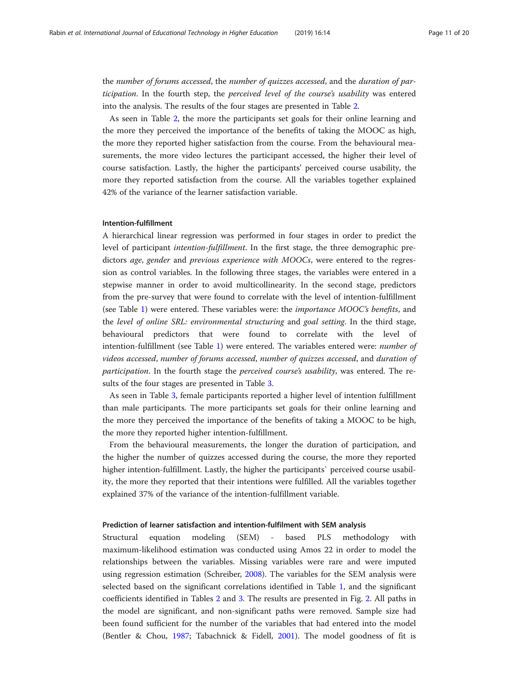the number of forums accessed, the number of quizzes accessed, and the duration of participation. In the fourth step, the perceived level of the course's usability was entered into the analysis. The results of the four stages are presented in Table [2.](#page-9-0)

As seen in Table [2,](#page-9-0) the more the participants set goals for their online learning and the more they perceived the importance of the benefits of taking the MOOC as high, the more they reported higher satisfaction from the course. From the behavioural measurements, the more video lectures the participant accessed, the higher their level of course satisfaction. Lastly, the higher the participants' perceived course usability, the more they reported satisfaction from the course. All the variables together explained 42% of the variance of the learner satisfaction variable.

#### Intention-fulfillment

A hierarchical linear regression was performed in four stages in order to predict the level of participant intention-fulfillment. In the first stage, the three demographic predictors age, gender and previous experience with MOOCs, were entered to the regression as control variables. In the following three stages, the variables were entered in a stepwise manner in order to avoid multicollinearity. In the second stage, predictors from the pre-survey that were found to correlate with the level of intention-fulfillment (see Table [1](#page-8-0)) were entered. These variables were: the importance MOOC's benefits, and the level of online SRL: environmental structuring and goal setting. In the third stage, behavioural predictors that were found to correlate with the level of intention-fulfillment (see Table [1](#page-8-0)) were entered. The variables entered were: number of videos accessed, number of forums accessed, number of quizzes accessed, and duration of participation. In the fourth stage the perceived course's usability, was entered. The results of the four stages are presented in Table [3.](#page-11-0)

As seen in Table [3,](#page-11-0) female participants reported a higher level of intention fulfillment than male participants. The more participants set goals for their online learning and the more they perceived the importance of the benefits of taking a MOOC to be high, the more they reported higher intention-fulfillment.

From the behavioural measurements, the longer the duration of participation, and the higher the number of quizzes accessed during the course, the more they reported higher intention-fulfillment. Lastly, the higher the participants` perceived course usability, the more they reported that their intentions were fulfilled. All the variables together explained 37% of the variance of the intention-fulfillment variable.

#### Prediction of learner satisfaction and intention-fulfilment with SEM analysis

Structural equation modeling (SEM) - based PLS methodology with maximum-likelihood estimation was conducted using Amos 22 in order to model the relationships between the variables. Missing variables were rare and were imputed using regression estimation (Schreiber, [2008\)](#page-19-0). The variables for the SEM analysis were selected based on the significant correlations identified in Table [1](#page-8-0), and the significant coefficients identified in Tables [2](#page-9-0) and [3.](#page-11-0) The results are presented in Fig. [2.](#page-12-0) All paths in the model are significant, and non-significant paths were removed. Sample size had been found sufficient for the number of the variables that had entered into the model (Bentler & Chou, [1987](#page-17-0); Tabachnick & Fidell, [2001\)](#page-19-0). The model goodness of fit is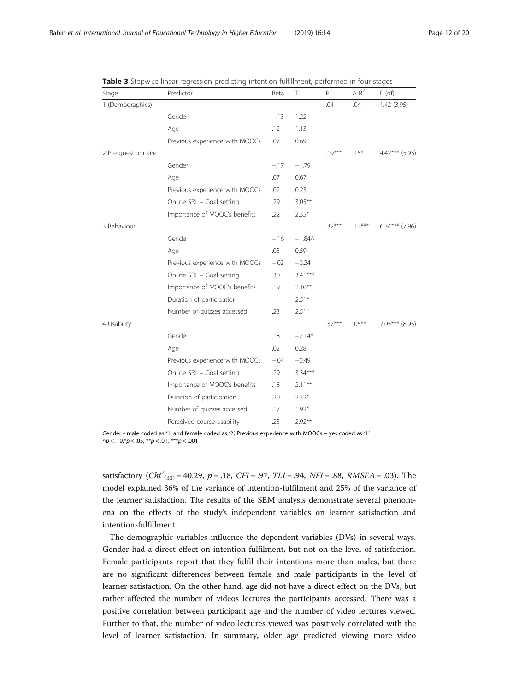| Stage               | Predictor                      | Beta   | Τ                                      | $R^2$    | $\Delta$ $\rm R^2$ | $F$ (df)         |
|---------------------|--------------------------------|--------|----------------------------------------|----------|--------------------|------------------|
| 1 (Demographics)    |                                |        |                                        | .04      | .04                | 1.42 (3,95)      |
|                     | Gender                         | $-.13$ | 1.22                                   |          |                    |                  |
|                     | Age                            | .12    | 1.13                                   |          |                    |                  |
|                     | Previous experience with MOOCs | .07    | 0.69                                   |          |                    |                  |
| 2 Pre-questionnaire |                                |        |                                        | $.19***$ | $.15*$             | $4.42***$ (5.93) |
|                     | Gender                         | $-.17$ | $-1.79$                                |          |                    |                  |
|                     | Age                            | .07    | 0.67                                   |          |                    |                  |
|                     | Previous experience with MOOCs | .02    | 0.23                                   |          |                    |                  |
|                     | Online SRL - Goal setting      | .29    | $3.05***$                              |          |                    |                  |
|                     | Importance of MOOC's benefits  | .22    | $2.35*$                                |          |                    |                  |
| 3 Behaviour         |                                |        |                                        | $.32***$ | $.13***$           | $6.34***$ (7.96) |
|                     | Gender                         | $-.16$ | $-1.84$ <sup><math>\wedge</math></sup> |          |                    |                  |
|                     | Age                            | .05    | 0.59                                   |          |                    |                  |
|                     | Previous experience with MOOCs | $-.02$ | $-0.24$                                |          |                    |                  |
|                     | Online SRL - Goal setting      | .30    | $3.41***$                              |          |                    |                  |
|                     | Importance of MOOC's benefits  | .19    | $2.10***$                              |          |                    |                  |
|                     | Duration of participation      |        | $2.51*$                                |          |                    |                  |
|                     | Number of quizzes accessed     | .23    | $2.51*$                                |          |                    |                  |
| 4 Usability         |                                |        |                                        | $.37***$ | $.05***$           | $7.05***$ (8,95) |
|                     | Gender                         | .18    | $-2.14*$                               |          |                    |                  |
|                     | Age                            | .02    | 0.28                                   |          |                    |                  |
|                     | Previous experience with MOOCs | $-.04$ | $-0.49$                                |          |                    |                  |
|                     | Online SRL - Goal setting      | .29    | $3.34***$                              |          |                    |                  |
|                     | Importance of MOOC's benefits  | .18    | $2.11***$                              |          |                    |                  |
|                     | Duration of participation      | .20    | $2.32*$                                |          |                    |                  |
|                     | Number of quizzes accessed     | .17    | $1.92*$                                |          |                    |                  |
|                     | Perceived course usability     | .25    | $2.92**$                               |          |                    |                  |

<span id="page-11-0"></span>Table 3 Stepwise linear regression predicting intention-fulfillment, performed in four stages

Gender - male coded as '1' and female coded as '2', Previous experience with MOOCs – yes coded as '1'  $\land p < .10,^\ast p < .05,$ <br/> $^{\ast\ast}p < .01,$   $^{\ast\ast\ast}p < .001$ 

satisfactory  $(Chi^2_{(33)} = 40.29, p = .18, CFI = .97, TLI = .94, NFI = .88, RMSEA = .03)$ . The model explained 36% of the variance of intention-fulfilment and 25% of the variance of the learner satisfaction. The results of the SEM analysis demonstrate several phenomena on the effects of the study's independent variables on learner satisfaction and intention-fulfillment.

The demographic variables influence the dependent variables (DVs) in several ways. Gender had a direct effect on intention-fulfilment, but not on the level of satisfaction. Female participants report that they fulfil their intentions more than males, but there are no significant differences between female and male participants in the level of learner satisfaction. On the other hand, age did not have a direct effect on the DVs, but rather affected the number of videos lectures the participants accessed. There was a positive correlation between participant age and the number of video lectures viewed. Further to that, the number of video lectures viewed was positively correlated with the level of learner satisfaction. In summary, older age predicted viewing more video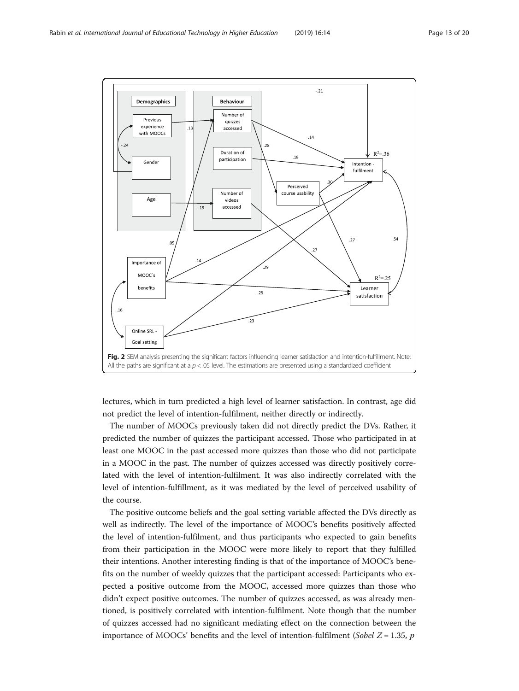<span id="page-12-0"></span>

lectures, which in turn predicted a high level of learner satisfaction. In contrast, age did not predict the level of intention-fulfilment, neither directly or indirectly.

The number of MOOCs previously taken did not directly predict the DVs. Rather, it predicted the number of quizzes the participant accessed. Those who participated in at least one MOOC in the past accessed more quizzes than those who did not participate in a MOOC in the past. The number of quizzes accessed was directly positively correlated with the level of intention-fulfilment. It was also indirectly correlated with the level of intention-fulfillment, as it was mediated by the level of perceived usability of the course.

The positive outcome beliefs and the goal setting variable affected the DVs directly as well as indirectly. The level of the importance of MOOC's benefits positively affected the level of intention-fulfilment, and thus participants who expected to gain benefits from their participation in the MOOC were more likely to report that they fulfilled their intentions. Another interesting finding is that of the importance of MOOC's benefits on the number of weekly quizzes that the participant accessed: Participants who expected a positive outcome from the MOOC, accessed more quizzes than those who didn't expect positive outcomes. The number of quizzes accessed, as was already mentioned, is positively correlated with intention-fulfilment. Note though that the number of quizzes accessed had no significant mediating effect on the connection between the importance of MOOCs' benefits and the level of intention-fulfilment (Sobel  $Z = 1.35$ , p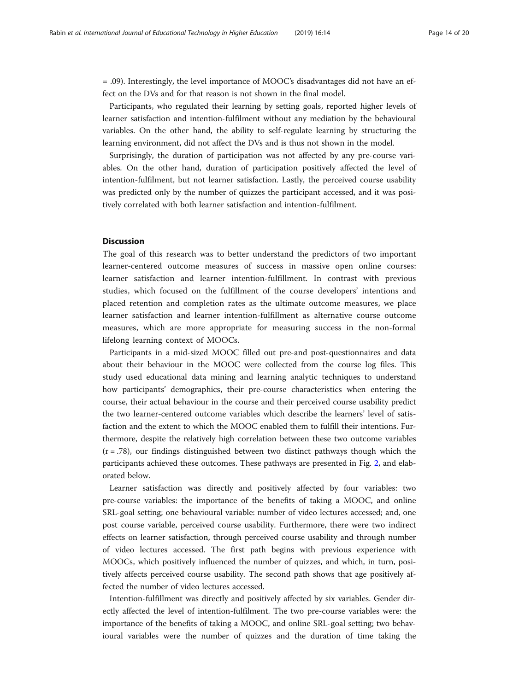= .09). Interestingly, the level importance of MOOC's disadvantages did not have an effect on the DVs and for that reason is not shown in the final model.

Participants, who regulated their learning by setting goals, reported higher levels of learner satisfaction and intention-fulfilment without any mediation by the behavioural variables. On the other hand, the ability to self-regulate learning by structuring the learning environment, did not affect the DVs and is thus not shown in the model.

Surprisingly, the duration of participation was not affected by any pre-course variables. On the other hand, duration of participation positively affected the level of intention-fulfilment, but not learner satisfaction. Lastly, the perceived course usability was predicted only by the number of quizzes the participant accessed, and it was positively correlated with both learner satisfaction and intention-fulfilment.

#### **Discussion**

The goal of this research was to better understand the predictors of two important learner-centered outcome measures of success in massive open online courses: learner satisfaction and learner intention-fulfillment. In contrast with previous studies, which focused on the fulfillment of the course developers' intentions and placed retention and completion rates as the ultimate outcome measures, we place learner satisfaction and learner intention-fulfillment as alternative course outcome measures, which are more appropriate for measuring success in the non-formal lifelong learning context of MOOCs.

Participants in a mid-sized MOOC filled out pre-and post-questionnaires and data about their behaviour in the MOOC were collected from the course log files. This study used educational data mining and learning analytic techniques to understand how participants' demographics, their pre-course characteristics when entering the course, their actual behaviour in the course and their perceived course usability predict the two learner-centered outcome variables which describe the learners' level of satisfaction and the extent to which the MOOC enabled them to fulfill their intentions. Furthermore, despite the relatively high correlation between these two outcome variables  $(r = .78)$ , our findings distinguished between two distinct pathways though which the participants achieved these outcomes. These pathways are presented in Fig. [2](#page-12-0), and elaborated below.

Learner satisfaction was directly and positively affected by four variables: two pre-course variables: the importance of the benefits of taking a MOOC, and online SRL-goal setting; one behavioural variable: number of video lectures accessed; and, one post course variable, perceived course usability. Furthermore, there were two indirect effects on learner satisfaction, through perceived course usability and through number of video lectures accessed. The first path begins with previous experience with MOOCs, which positively influenced the number of quizzes, and which, in turn, positively affects perceived course usability. The second path shows that age positively affected the number of video lectures accessed.

Intention-fulfillment was directly and positively affected by six variables. Gender directly affected the level of intention-fulfilment. The two pre-course variables were: the importance of the benefits of taking a MOOC, and online SRL-goal setting; two behavioural variables were the number of quizzes and the duration of time taking the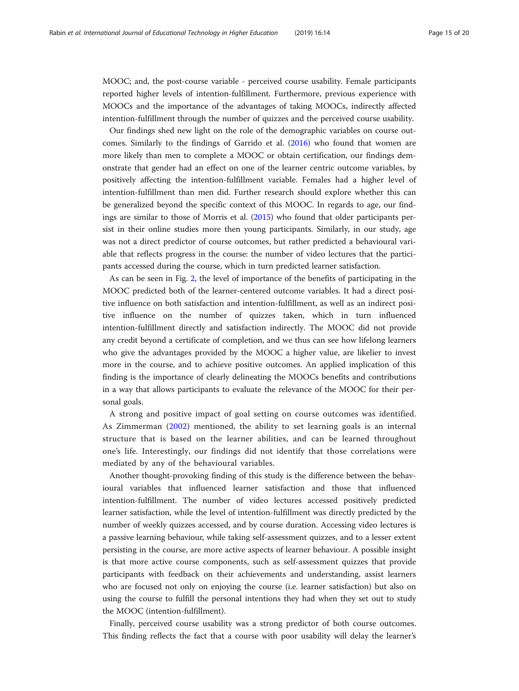MOOC; and, the post-course variable - perceived course usability. Female participants reported higher levels of intention-fulfillment. Furthermore, previous experience with MOOCs and the importance of the advantages of taking MOOCs, indirectly affected intention-fulfillment through the number of quizzes and the perceived course usability.

Our findings shed new light on the role of the demographic variables on course outcomes. Similarly to the findings of Garrido et al. ([2016](#page-18-0)) who found that women are more likely than men to complete a MOOC or obtain certification, our findings demonstrate that gender had an effect on one of the learner centric outcome variables, by positively affecting the intention-fulfillment variable. Females had a higher level of intention-fulfillment than men did. Further research should explore whether this can be generalized beyond the specific context of this MOOC. In regards to age, our findings are similar to those of Morris et al. [\(2015\)](#page-18-0) who found that older participants persist in their online studies more then young participants. Similarly, in our study, age was not a direct predictor of course outcomes, but rather predicted a behavioural variable that reflects progress in the course: the number of video lectures that the participants accessed during the course, which in turn predicted learner satisfaction.

As can be seen in Fig. [2,](#page-12-0) the level of importance of the benefits of participating in the MOOC predicted both of the learner-centered outcome variables. It had a direct positive influence on both satisfaction and intention-fulfillment, as well as an indirect positive influence on the number of quizzes taken, which in turn influenced intention-fulfillment directly and satisfaction indirectly. The MOOC did not provide any credit beyond a certificate of completion, and we thus can see how lifelong learners who give the advantages provided by the MOOC a higher value, are likelier to invest more in the course, and to achieve positive outcomes. An applied implication of this finding is the importance of clearly delineating the MOOCs benefits and contributions in a way that allows participants to evaluate the relevance of the MOOC for their personal goals.

A strong and positive impact of goal setting on course outcomes was identified. As Zimmerman ([2002\)](#page-19-0) mentioned, the ability to set learning goals is an internal structure that is based on the learner abilities, and can be learned throughout one's life. Interestingly, our findings did not identify that those correlations were mediated by any of the behavioural variables.

Another thought-provoking finding of this study is the difference between the behavioural variables that influenced learner satisfaction and those that influenced intention-fulfillment. The number of video lectures accessed positively predicted learner satisfaction, while the level of intention-fulfillment was directly predicted by the number of weekly quizzes accessed, and by course duration. Accessing video lectures is a passive learning behaviour, while taking self-assessment quizzes, and to a lesser extent persisting in the course, are more active aspects of learner behaviour. A possible insight is that more active course components, such as self-assessment quizzes that provide participants with feedback on their achievements and understanding, assist learners who are focused not only on enjoying the course (i.e. learner satisfaction) but also on using the course to fulfill the personal intentions they had when they set out to study the MOOC (intention-fulfillment).

Finally, perceived course usability was a strong predictor of both course outcomes. This finding reflects the fact that a course with poor usability will delay the learner's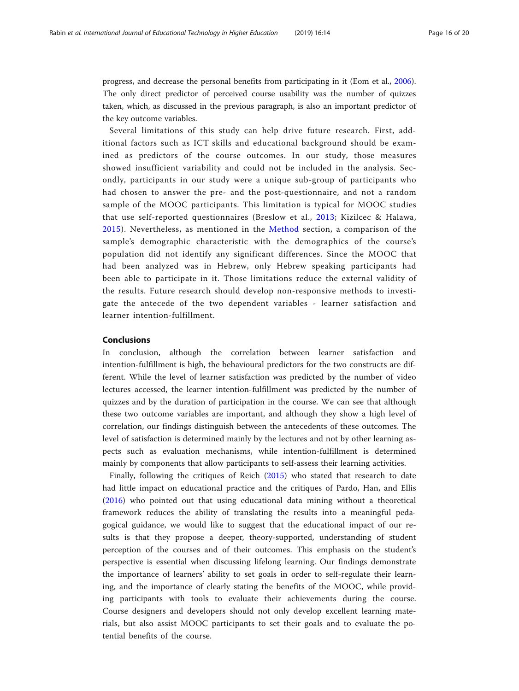progress, and decrease the personal benefits from participating in it (Eom et al., [2006](#page-17-0)). The only direct predictor of perceived course usability was the number of quizzes taken, which, as discussed in the previous paragraph, is also an important predictor of the key outcome variables.

Several limitations of this study can help drive future research. First, additional factors such as ICT skills and educational background should be examined as predictors of the course outcomes. In our study, those measures showed insufficient variability and could not be included in the analysis. Secondly, participants in our study were a unique sub-group of participants who had chosen to answer the pre- and the post-questionnaire, and not a random sample of the MOOC participants. This limitation is typical for MOOC studies that use self-reported questionnaires (Breslow et al., [2013](#page-17-0); Kizilcec & Halawa, [2015\)](#page-18-0). Nevertheless, as mentioned in the [Method](#page-4-0) section, a comparison of the sample's demographic characteristic with the demographics of the course's population did not identify any significant differences. Since the MOOC that had been analyzed was in Hebrew, only Hebrew speaking participants had been able to participate in it. Those limitations reduce the external validity of the results. Future research should develop non-responsive methods to investigate the antecede of the two dependent variables - learner satisfaction and learner intention-fulfillment.

#### Conclusions

In conclusion, although the correlation between learner satisfaction and intention-fulfillment is high, the behavioural predictors for the two constructs are different. While the level of learner satisfaction was predicted by the number of video lectures accessed, the learner intention-fulfillment was predicted by the number of quizzes and by the duration of participation in the course. We can see that although these two outcome variables are important, and although they show a high level of correlation, our findings distinguish between the antecedents of these outcomes. The level of satisfaction is determined mainly by the lectures and not by other learning aspects such as evaluation mechanisms, while intention-fulfillment is determined mainly by components that allow participants to self-assess their learning activities.

Finally, following the critiques of Reich [\(2015](#page-18-0)) who stated that research to date had little impact on educational practice and the critiques of Pardo, Han, and Ellis ([2016\)](#page-18-0) who pointed out that using educational data mining without a theoretical framework reduces the ability of translating the results into a meaningful pedagogical guidance, we would like to suggest that the educational impact of our results is that they propose a deeper, theory-supported, understanding of student perception of the courses and of their outcomes. This emphasis on the student's perspective is essential when discussing lifelong learning. Our findings demonstrate the importance of learners' ability to set goals in order to self-regulate their learning, and the importance of clearly stating the benefits of the MOOC, while providing participants with tools to evaluate their achievements during the course. Course designers and developers should not only develop excellent learning materials, but also assist MOOC participants to set their goals and to evaluate the potential benefits of the course.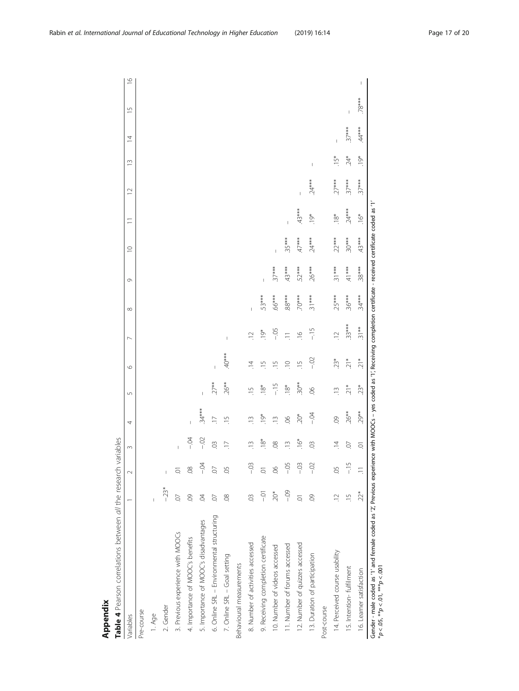| Appendix                                                                                                                                                                                                               |                    |                |                          |                  |               |                |                          |          |                |             |          |                          |                |                          |                                                                                                                                                                                                                                                                                                                                                                                  |               |
|------------------------------------------------------------------------------------------------------------------------------------------------------------------------------------------------------------------------|--------------------|----------------|--------------------------|------------------|---------------|----------------|--------------------------|----------|----------------|-------------|----------|--------------------------|----------------|--------------------------|----------------------------------------------------------------------------------------------------------------------------------------------------------------------------------------------------------------------------------------------------------------------------------------------------------------------------------------------------------------------------------|---------------|
| Table 4 Pearson correlations between all the research                                                                                                                                                                  |                    |                | variables                |                  |               |                |                          |          |                |             |          |                          |                |                          |                                                                                                                                                                                                                                                                                                                                                                                  |               |
| Variables                                                                                                                                                                                                              |                    | $\sim$         | $\sim$                   | 4                | $\sqrt{2}$    | $\circ$        | $\overline{\phantom{0}}$ | $\infty$ | $\circ$        | $\supseteq$ | Ξ        | $\overline{\phantom{0}}$ | 3              | $\overline{4}$           | 5                                                                                                                                                                                                                                                                                                                                                                                | $\frac{6}{1}$ |
| Pre-course                                                                                                                                                                                                             |                    |                |                          |                  |               |                |                          |          |                |             |          |                          |                |                          |                                                                                                                                                                                                                                                                                                                                                                                  |               |
| 1. Age                                                                                                                                                                                                                 |                    |                |                          |                  |               |                |                          |          |                |             |          |                          |                |                          |                                                                                                                                                                                                                                                                                                                                                                                  |               |
| 2. Gender                                                                                                                                                                                                              | $-23*$             |                |                          |                  |               |                |                          |          |                |             |          |                          |                |                          |                                                                                                                                                                                                                                                                                                                                                                                  |               |
| 3. Previous experience with MOOCs                                                                                                                                                                                      | $\overline{O}$     | ā              | Ī                        |                  |               |                |                          |          |                |             |          |                          |                |                          |                                                                                                                                                                                                                                                                                                                                                                                  |               |
| 4. Importance of MOOC's benefits                                                                                                                                                                                       | 09                 | $\frac{8}{2}$  | $-54$                    | $\overline{1}$   |               |                |                          |          |                |             |          |                          |                |                          |                                                                                                                                                                                                                                                                                                                                                                                  |               |
| 5. Importance of MOOC's disadvantages                                                                                                                                                                                  | $\tilde{Q}$        | $\frac{5}{1}$  | $-02$                    | $34***$          |               |                |                          |          |                |             |          |                          |                |                          |                                                                                                                                                                                                                                                                                                                                                                                  |               |
| 6. Online SRL - Environmental structuring                                                                                                                                                                              | $\odot$            | $\overline{O}$ | $\odot$                  | $\Box$           | $.27**$       | Ï              |                          |          |                |             |          |                          |                |                          |                                                                                                                                                                                                                                                                                                                                                                                  |               |
| 7. Online SRL - Goal setting                                                                                                                                                                                           | $\frac{8}{2}$      | 05             | $\overline{\phantom{a}}$ | $\overline{.15}$ | $.26**$       | $^{****}$      | I                        |          |                |             |          |                          |                |                          |                                                                                                                                                                                                                                                                                                                                                                                  |               |
| Behavioural measurements                                                                                                                                                                                               |                    |                |                          |                  |               |                |                          |          |                |             |          |                          |                |                          |                                                                                                                                                                                                                                                                                                                                                                                  |               |
| 8. Number of activities accessed                                                                                                                                                                                       | $\odot$            | $-03$          | $\frac{1}{2}$            | $\frac{3}{2}$    | $\frac{5}{1}$ | $\overline{4}$ | $\overline{C}$           |          |                |             |          |                          |                |                          |                                                                                                                                                                                                                                                                                                                                                                                  |               |
| 9. Receiving completion certificate                                                                                                                                                                                    | ιο<br>Γ            | $\overline{O}$ | $18*$                    | $.19*$           | $18*$         | $\frac{5}{1}$  | $.19*$                   | 53***    | $\overline{1}$ |             |          |                          |                |                          |                                                                                                                                                                                                                                                                                                                                                                                  |               |
| 10. Number of videos accessed                                                                                                                                                                                          | $20*$              | $\frac{8}{2}$  | $\overline{0}$           | $\frac{1}{2}$    | $-15$         | $\frac{5}{1}$  | $-0.5$                   | 56***    | $37***$        |             |          |                          |                |                          |                                                                                                                                                                                                                                                                                                                                                                                  |               |
| 11. Number of forums accessed                                                                                                                                                                                          | $-0.9$             | $-0.5$         | $\frac{1}{2}$            | 80               | $18*$         | $\supseteq$    | $\equiv$                 | $88***$  | $43***$        | $35***$     | I.       |                          |                |                          |                                                                                                                                                                                                                                                                                                                                                                                  |               |
| 12. Number of quizzes accessed                                                                                                                                                                                         | $\overline{\circ}$ | °⊝<br>⊃        | $16*$                    | $-20*$           | $30**$        | $\frac{5}{1}$  | $\frac{6}{1}$            | $70***$  | $.52***$       | $47***$     | .43***   | $\overline{\phantom{a}}$ |                |                          |                                                                                                                                                                                                                                                                                                                                                                                  |               |
| 13. Duration of participation                                                                                                                                                                                          | 09                 | si<br>Si       | $\odot$                  | $-54$            | 60            | $-02$          | $-15$                    | $31***$  | .26***         | $.24***$    | $19*$    | $.24***$                 | $\overline{1}$ |                          |                                                                                                                                                                                                                                                                                                                                                                                  |               |
| Post-course                                                                                                                                                                                                            |                    |                |                          |                  |               |                |                          |          |                |             |          |                          |                |                          |                                                                                                                                                                                                                                                                                                                                                                                  |               |
| 14. Perceived course usability                                                                                                                                                                                         | $\overline{12}$    | 05             | $\overline{4}$           | $\overline{S}$   | $\frac{1}{2}$ | $.23*$         | $\overline{12}$          | $25***$  | $31***$        | $.22***$    | $18*$    | $.27***$                 | $15*$          | $\overline{\phantom{a}}$ |                                                                                                                                                                                                                                                                                                                                                                                  |               |
| 15. Intention-fulfilment                                                                                                                                                                                               | $\frac{5}{1}$      | $-15$          | O.                       | $26**$           | $21*$         | $21*$          | $33***$                  | $36***$  | $41***$        | $30***$     | $.24***$ | $37***$                  | $.24*$         | $37***$                  | $\begin{array}{c} \rule{0pt}{2.5ex} \rule{0pt}{2.5ex} \rule{0pt}{2.5ex} \rule{0pt}{2.5ex} \rule{0pt}{2.5ex} \rule{0pt}{2.5ex} \rule{0pt}{2.5ex} \rule{0pt}{2.5ex} \rule{0pt}{2.5ex} \rule{0pt}{2.5ex} \rule{0pt}{2.5ex} \rule{0pt}{2.5ex} \rule{0pt}{2.5ex} \rule{0pt}{2.5ex} \rule{0pt}{2.5ex} \rule{0pt}{2.5ex} \rule{0pt}{2.5ex} \rule{0pt}{2.5ex} \rule{0pt}{2.5ex} \rule{0$ |               |
| 16. Learner satisfaction                                                                                                                                                                                               | $22*$              |                | ā                        | .29**            | $23*$         | $21*$          | $31**$                   | $34***$  | $.38***$       | 43***       | $16*$    | $37***$                  | $19*$          | $44***$                  | I<br>.78***                                                                                                                                                                                                                                                                                                                                                                      |               |
| Gender - male coded as '1' and female coded as '2, Previous experience with MOOCs - yes coded as '1', Receiving completion certificate - received certificate coded as '1'<br>$*p < 0.05$ , $**p < 0.1$ , $**p < 0.01$ |                    |                |                          |                  |               |                |                          |          |                |             |          |                          |                |                          |                                                                                                                                                                                                                                                                                                                                                                                  |               |

Rabin et al. International Journal of Educational Technology in Higher Education (2019) 16:14 Page 17 of 20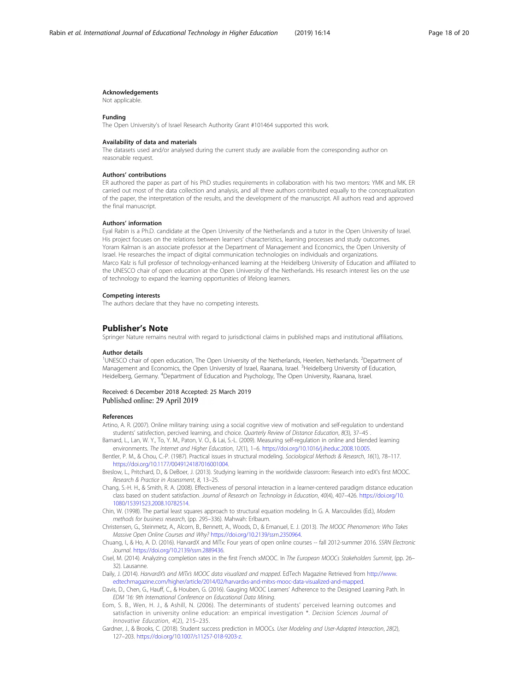#### <span id="page-17-0"></span>Acknowledgements

Not applicable.

#### Funding

The Open University's of Israel Research Authority Grant #101464 supported this work.

#### Availability of data and materials

The datasets used and/or analysed during the current study are available from the corresponding author on reasonable request.

#### Authors' contributions

ER authored the paper as part of his PhD studies requirements in collaboration with his two mentors: YMK and MK. ER carried out most of the data collection and analysis, and all three authors contributed equally to the conceptualization of the paper, the interpretation of the results, and the development of the manuscript. All authors read and approved the final manuscript.

#### Authors' information

Eyal Rabin is a Ph.D. candidate at the Open University of the Netherlands and a tutor in the Open University of Israel. His project focuses on the relations between learners' characteristics, learning processes and study outcomes. Yoram Kalman is an associate professor at the Department of Management and Economics, the Open University of Israel. He researches the impact of digital communication technologies on individuals and organizations. Marco Kalz is full professor of technology-enhanced learning at the Heidelberg University of Education and affiliated to the UNESCO chair of open education at the Open University of the Netherlands. His research interest lies on the use of technology to expand the learning opportunities of lifelong learners.

#### Competing interests

The authors declare that they have no competing interests.

#### Publisher's Note

Springer Nature remains neutral with regard to jurisdictional claims in published maps and institutional affiliations.

#### Author details

<sup>1</sup>UNESCO chair of open education, The Open University of the Netherlands, Heerlen, Netherlands. <sup>2</sup>Department of Management and Economics, the Open University of Israel, Raanana, Israel. <sup>3</sup>Heidelberg University of Education Heidelberg, Germany. <sup>4</sup> Department of Education and Psychology, The Open University, Raanana, Israel.

#### Received: 6 December 2018 Accepted: 25 March 2019 Published online: 29 April 2019

#### References

- Artino, A. R. (2007). Online military training: using a social cognitive view of motivation and self-regulation to understand students' satisfection, percived learning, and choice. Quarterly Review of Distance Education, 8(3), 37-45
- Barnard, L., Lan, W. Y., To, Y. M., Paton, V. O., & Lai, S.-L. (2009). Measuring self-regulation in online and blended learning environments. The Internet and Higher Education, 12(1), 1–6. [https://doi.org/10.1016/j.iheduc.2008.10.005.](https://doi.org/10.1016/j.iheduc.2008.10.005)
- Bentler, P. M., & Chou, C.-P. (1987). Practical issues in structural modeling. Sociological Methods & Research, 16(1), 78–117. [https://doi.org/10.1177/0049124187016001004.](https://doi.org/10.1177/0049124187016001004)
- Breslow, L., Pritchard, D., & DeBoer, J. (2013). Studying learning in the worldwide classroom: Research into edX's first MOOC. Research & Practice in Assessment, 8, 13–25.
- Chang, S.-H. H., & Smith, R. A. (2008). Effectiveness of personal interaction in a learner-centered paradigm distance education class based on student satisfaction. Journal of Research on Technology in Education, 40(4), 407–426. [https://doi.org/10.](https://doi.org/10.1080/15391523.2008.10782514) [1080/15391523.2008.10782514](https://doi.org/10.1080/15391523.2008.10782514).
- Chin, W. (1998). The partial least squares approach to structural equation modeling. In G. A. Marcoulides (Ed.), Modern methods for business research, (pp. 295–336). Mahwah: Erlbaum.
- Christensen, G., Steinmetz, A., Alcorn, B., Bennett, A., Woods, D., & Emanuel, E. J. (2013). The MOOC Phenomenon: Who Takes Massive Open Online Courses and Why? <https://doi.org/10.2139/ssrn.2350964>.
- Chuang, I., & Ho, A. D. (2016). HarvardX and MITx: Four years of open online courses -- fall 2012-summer 2016. SSRN Electronic Journal. <https://doi.org/10.2139/ssrn.2889436>.
- Cisel, M. (2014). Analyzing completion rates in the first French xMOOC. In The European MOOCs Stakeholders Summit, (pp. 26– 32). Lausanne.
- Daily, J. (2014). HarvardX's and MITx's MOOC data visualized and mapped. EdTech Magazine Retrieved from [http://www.](http://www.edtechmagazine.com/higher/article/2014/02/harvardxs-and-mitxs-mooc-data-visualized-and-mapped) [edtechmagazine.com/higher/article/2014/02/harvardxs-and-mitxs-mooc-data-visualized-and-mapped](http://www.edtechmagazine.com/higher/article/2014/02/harvardxs-and-mitxs-mooc-data-visualized-and-mapped).
- Davis, D., Chen, G., Hauff, C., & Houben, G. (2016). Gauging MOOC Learners' Adherence to the Designed Learning Path. In EDM '16: 9th International Conference on Educational Data Mining.
- Eom, S. B., Wen, H. J., & Ashill, N. (2006). The determinants of students' perceived learning outcomes and satisfaction in university online education: an empirical investigation \*. Decision Sciences Journal of Innovative Education, 4(2), 215–235.
- Gardner, J., & Brooks, C. (2018). Student success prediction in MOOCs. User Modeling and User-Adapted Interaction, 28(2), 127–203. [https://doi.org/10.1007/s11257-018-9203-z.](https://doi.org/10.1007/s11257-018-9203-z)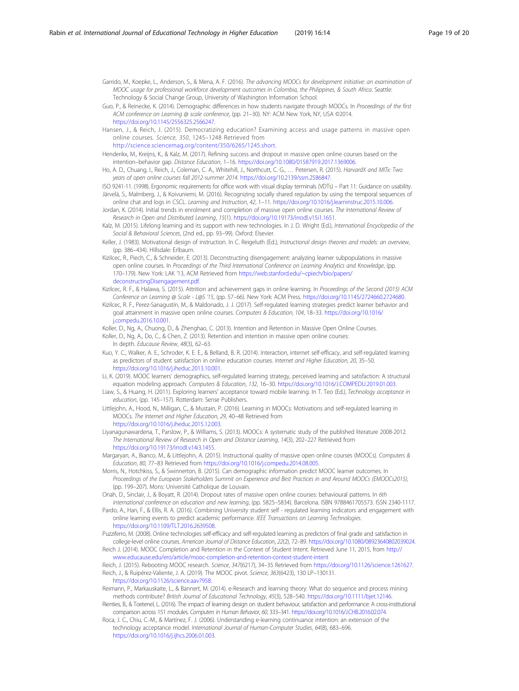- <span id="page-18-0"></span>Garrido, M., Koepke, L., Anderson, S., & Mena, A. F. (2016). The advancing MOOCs for development initiative: an examination of MOOC usage for professional workforce development outcomes in Colombia, the Philippines, & South Africa. Seattle: Technology & Social Change Group, University of Washington Information School.
- Guo, P., & Reinecke, K. (2014). Demographic differences in how students navigate through MOOCs. In Proceedings of the first ACM conference on Learning @ scale conference, (pp. 21–30). NY: ACM New York, NY, USA ©2014. [https://doi.org/10.1145/2556325.2566247.](https://doi.org/10.1145/2556325.2566247)
- Hansen, J., & Reich, J. (2015). Democratizing education? Examining access and usage patterns in massive open online courses. Science, 350, 1245–1248 Retrieved from

<http://science.sciencemag.org/content/350/6265/1245.short>.

- Henderikx, M., Kreijns, K., & Kalz, M. (2017). Refining success and dropout in massive open online courses based on the intention–behavior gap. Distance Education, 1–16. [https://doi.org/10.1080/01587919.2017.1369006.](https://doi.org/10.1080/01587919.2017.1369006)
- Ho, A. D., Chuang, I., Reich, J., Coleman, C. A., Whitehill, J., Northcutt, C. G., ... Petersen, R. (2015). HarvardX and MITx: Two years of open online courses fall 2012-summer 2014. <https://doi.org/10.2139/ssrn.2586847>.

ISO 9241-11. (1998). Ergonomic requirements for office work with visual display terminals (VDTs) – Part 11: Guidance on usability. Järvelä, S., Malmberg, J., & Koivuniemi, M. (2016). Recognizing socially shared regulation by using the temporal sequences of

- online chat and logs in CSCL. Learning and Instruction, 42, 1–11. [https://doi.org/10.1016/j.learninstruc.2015.10.006.](https://doi.org/10.1016/j.learninstruc.2015.10.006) Jordan, K. (2014). Initial trends in enrolment and completion of massive open online courses. The International Review of Research in Open and Distributed Learning, 15(1). [https://doi.org/10.19173/irrodl.v15i1.1651.](https://doi.org/10.19173/irrodl.v15i1.1651)
- Kalz, M. (2015). Lifelong learning and its support with new technologies. In J. D. Wright (Ed.), International Encyclopedia of the Social & Behavioral Sciences, (2nd ed., pp. 93–99). Oxford: Elsevier.
- Keller, J. (1983). Motivational design of instruction. In C. Reigeluth (Ed.), Instructional design theories and models: an overview, (pp. 386–434). Hillsdale: Erlbaum.
- Kizilcec, R., Piech, C., & Schneider, E. (2013). Deconstructing disengagement: analyzing learner subpopulations in massive open online courses. In Proceedings of the Third International Conference on Learning Analytics and Knowledge, (pp. 170–179). New York: LAK '13, ACM Retrieved from [https://web.stanford.edu/~cpiech/bio/papers/](https://web.stanford.edu/~cpiech/bio/papers/deconstructingDisengagement.pdf) [deconstructingDisengagement.pdf.](https://web.stanford.edu/~cpiech/bio/papers/deconstructingDisengagement.pdf)
- Kizilcec, R. F., & Halawa, S. (2015). Attrition and achievement gaps in online learning. In Proceedings of the Second (2015) ACM Conference on Learning @ Scale - L@S '15, (pp. 57–66). New York: ACM Press. <https://doi.org/10.1145/2724660.2724680>.
- Kizilcec, R. F., Perez-Sanagustín, M., & Maldonado, J. J. (2017). Self-regulated learning strategies predict learner behavior and goal attainment in massive open online courses. Computers & Education, 104, 18–33. [https://doi.org/10.1016/](https://doi.org/10.1016/j.compedu.2016.10.001) [j.compedu.2016.10.001](https://doi.org/10.1016/j.compedu.2016.10.001).

Koller, D., Ng, A., Chuong, D., & Zhenghao, C. (2013). Intention and Retention in Massive Open Online Courses.

- Koller, D., Ng, A., Do, C., & Chen, Z. (2013). Retention and intention in massive open online courses: In depth. Educause Review, 48(3), 62–63.
- Kuo, Y. C., Walker, A. E., Schroder, K. E. E., & Belland, B. R. (2014). Interaction, internet self-efficacy, and self-regulated learning as predictors of student satisfaction in online education courses. Internet and Higher Education, 20, 35–50. <https://doi.org/10.1016/j.iheduc.2013.10.001>.
- Li, K. (2019). MOOC learners' demographics, self-regulated learning strategy, perceived learning and satisfaction: A structural equation modeling approach. Computers & Education, 132, 16–30. <https://doi.org/10.1016/J.COMPEDU.2019.01.003>.
- Liaw, S., & Huang, H. (2011). Exploring learners' acceptance toward mobile learning. In T. Teo (Ed.), Technology acceptance in education, (pp. 145–157). Rotterdam: Sense Publishers.

Littlejohn, A., Hood, N., Milligan, C., & Mustain, P. (2016). Learning in MOOCs: Motivations and self-regulated learning in MOOCs. The Internet and Higher Education, 29, 40–48 Retrieved from <https://doi.org/10.1016/j.iheduc.2015.12.003>.

- Liyanagunawardena, T., Parslow, P., & Williams, S. (2013). MOOCs: A systematic study of the published literature 2008-2012. The International Review of Research in Open and Distance Learning, 14(3), 202–227 Retrieved from [https://doi.org/10.19173/irrodl.v14i3.1455.](https://doi.org/10.19173/irrodl.v14i3.1455)
- Margaryan, A., Bianco, M., & Littlejohn, A. (2015). Instructional quality of massive open online courses (MOOCs). Computers & Education, 80, 77–83 Retrieved from <https://doi.org/10.1016/j.compedu.2014.08.005>.
- Morris, N., Hotchkiss, S., & Swinnerton, B. (2015). Can demographic information predict MOOC learner outcomes. In Proceedings of the European Stakeholders Summit on Experience and Best Practices in and Around MOOCs (EMOOCs2015), (pp. 199–207). Mons: Université Catholique de Louvain.
- Onah, D., Sinclair, J., & Boyatt, R. (2014). Dropout rates of massive open online courses: behavioural patterns. In 6th international conference on education and new learning, (pp. 5825–5834). Barcelona. ISBN 9788461705573. ISSN 2340-1117.
- Pardo, A., Han, F., & Ellis, R. A. (2016). Combining University student self regulated learning indicators and engagement with online learning events to predict academic performance. IEEE Transactions on Learning Technologies. [https://doi.org/10.1109/TLT.2016.2639508.](https://doi.org/10.1109/TLT.2016.2639508)
- Puzziferro, M. (2008). Online technologies self-efficacy and self-regulated learning as predictors of final grade and satisfaction in college-level online courses. American Journal of Distance Education, 22(2), 72–89. [https://doi.org/10.1080/08923640802039024.](https://doi.org/10.1080/08923640802039024) Reich J. (2014). MOOC Completion and Retention in the Context of Student Intent. Retrieved June 11, 2015, from [http://](http://www.educause.edu/ero/article/mooc-completion-and-retention-context-student-intent)
- [www.educause.edu/ero/article/mooc-completion-and-retention-context-student-intent](http://www.educause.edu/ero/article/mooc-completion-and-retention-context-student-intent)

Reich, J. (2015). Rebooting MOOC research. Science, 347(6217), 34–35 Retrieved from <https://doi.org/10.1126/science.1261627>. Reich, J., & Ruipérez-Valiente, J. A. (2019). The MOOC pivot. Science, 363(6423), 130 LP–130131.

- <https://doi.org/10.1126/science.aav7958>.
- Reimann, P., Markauskaite, L., & Bannert, M. (2014). e-Research and learning theory: What do sequence and process mining methods contribute? British Journal of Educational Technology, 45(3), 528–540. <https://doi.org/10.1111/bjet.12146>.
- Rienties, B., & Toetenel, L. (2016). The impact of learning design on student behaviour, satisfaction and performance: A cross-institutional comparison across 151 modules. Computers in Human Behavior, 60, 333–341. [https://doi.org/10.1016/J.CHB.2016.02.074.](https://doi.org/10.1016/J.CHB.2016.02.074)
- Roca, J. C., Chiu, C.-M., & Martínez, F. J. (2006). Understanding e-learning continuance intention: an extension of the technology acceptance model. International Journal of Human-Computer Studies, 64(8), 683–696. <https://doi.org/10.1016/j.ijhcs.2006.01.003>.